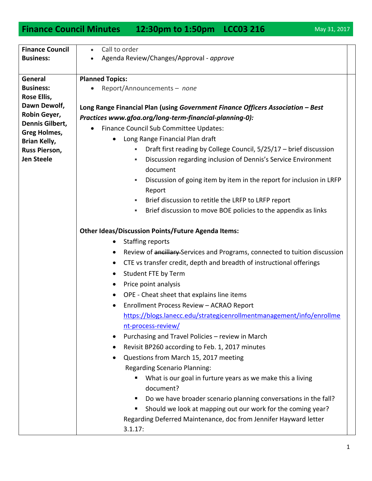## **Finance Council Minutes 12:30pm to 1:50pm LCC03 216** May 31, 2017

| <b>Finance Council</b>               | Call to order<br>$\bullet$                                                              |
|--------------------------------------|-----------------------------------------------------------------------------------------|
| <b>Business:</b>                     | Agenda Review/Changes/Approval - approve                                                |
|                                      |                                                                                         |
| General                              | <b>Planned Topics:</b>                                                                  |
| <b>Business:</b>                     | Report/Announcements - none                                                             |
| Rose Ellis,                          |                                                                                         |
| Dawn Dewolf,                         | Long Range Financial Plan (using Government Finance Officers Association - Best         |
| Robin Geyer,                         | Practices www.gfoa.org/long-term-financial-planning-0):                                 |
| Dennis Gilbert,                      | Finance Council Sub Committee Updates:                                                  |
| <b>Greg Holmes,</b>                  | Long Range Financial Plan draft                                                         |
| Brian Kelly,<br><b>Russ Pierson,</b> | Draft first reading by College Council, 5/25/17 - brief discussion<br>٠                 |
| <b>Jen Steele</b>                    | Discussion regarding inclusion of Dennis's Service Environment<br>$\blacksquare$        |
|                                      | document                                                                                |
|                                      | Discussion of going item by item in the report for inclusion in LRFP<br>٠               |
|                                      | Report                                                                                  |
|                                      | Brief discussion to retitle the LRFP to LRFP report<br>٠                                |
|                                      | Brief discussion to move BOE policies to the appendix as links<br>٠                     |
|                                      |                                                                                         |
|                                      | <b>Other Ideas/Discussion Points/Future Agenda Items:</b>                               |
|                                      | <b>Staffing reports</b><br>$\bullet$                                                    |
|                                      | Review of ancillary-Services and Programs, connected to tuition discussion<br>$\bullet$ |
|                                      | CTE vs transfer credit, depth and breadth of instructional offerings<br>٠               |
|                                      | Student FTE by Term<br>$\bullet$                                                        |
|                                      | Price point analysis<br>$\bullet$                                                       |
|                                      | OPE - Cheat sheet that explains line items                                              |
|                                      | $\bullet$                                                                               |
|                                      | Enrollment Process Review - ACRAO Report                                                |
|                                      | https://blogs.lanecc.edu/strategicenrollmentmanagement/info/enrollme                    |
|                                      | nt-process-review/                                                                      |
|                                      | Purchasing and Travel Policies - review in March                                        |
|                                      | Revisit BP260 according to Feb. 1, 2017 minutes                                         |
|                                      | Questions from March 15, 2017 meeting<br>$\bullet$                                      |
|                                      | <b>Regarding Scenario Planning:</b>                                                     |
|                                      | What is our goal in furture years as we make this a living<br>document?                 |
|                                      | Do we have broader scenario planning conversations in the fall?<br>п                    |
|                                      | Should we look at mapping out our work for the coming year?<br>п                        |
|                                      | Regarding Deferred Maintenance, doc from Jennifer Hayward letter                        |
|                                      | 3.1.17:                                                                                 |
|                                      |                                                                                         |